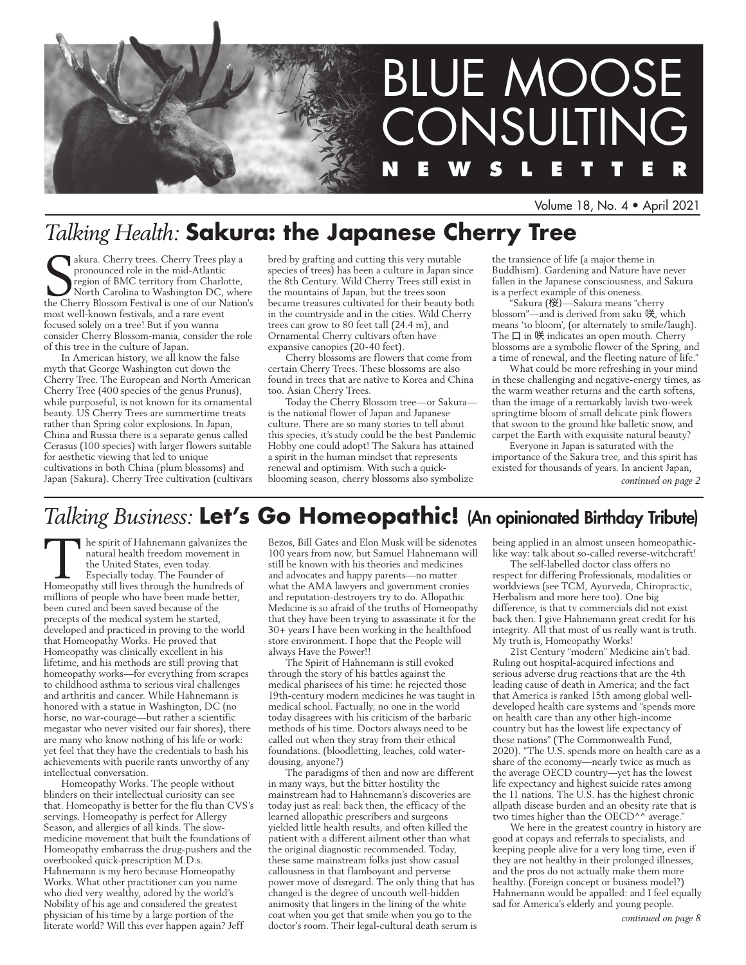

Volume 18, No. 4 • April 2021

# *Talking Health:* **Sakura: the Japanese Cherry Tree**

s a pronounced role in the mid-Atlantic<br>region of BMC territory from Charlotte,<br>North Carolina to Washington DC, when<br>the Cherry Blossom Festival is one of our Nation pronounced role in the mid-Atlantic region of BMC territory from Charlotte, North Carolina to Washington DC, where the Cherry Blossom Festival is one of our Nation's most well-known festivals, and a rare event focused solely on a tree! But if you wanna consider Cherry Blossom-mania, consider the role of this tree in the culture of Japan.

In American history, we all know the false myth that George Washington cut down the Cherry Tree. The European and North American Cherry Tree (400 species of the genus Prunus), while purposeful, is not known for its ornamental beauty. US Cherry Trees are summertime treats rather than Spring color explosions. In Japan, China and Russia there is a separate genus called Cerasus (100 species) with larger flowers suitable for aesthetic viewing that led to unique cultivations in both China (plum blossoms) and Japan (Sakura). Cherry Tree cultivation (cultivars bred by grafting and cutting this very mutable species of trees) has been a culture in Japan since the 8th Century. Wild Cherry Trees still exist in the mountains of Japan, but the trees soon became treasures cultivated for their beauty both in the countryside and in the cities. Wild Cherry trees can grow to 80 feet tall (24.4 m), and Ornamental Cherry cultivars often have expansive canopies (20-40 feet).

Cherry blossoms are flowers that come from certain Cherry Trees. These blossoms are also found in trees that are native to Korea and China too. Asian Cherry Trees.

Today the Cherry Blossom tree—or Sakura is the national flower of Japan and Japanese culture. There are so many stories to tell about this species, it's study could be the best Pandemic Hobby one could adopt! The Sakura has attained a spirit in the human mindset that represents renewal and optimism. With such a quickblooming season, cherry blossoms also symbolize

the transience of life (a major theme in Buddhism). Gardening and Nature have never fallen in the Japanese consciousness, and Sakura is a perfect example of this oneness.

Sakura (桜) - Sakura means "cherry blossom"—and is derived from saku 咲, which means 'to bloom', (or alternately to smile/laugh). The  $\Box$  in 咲 indicates an open mouth. Cherry blossoms are a symbolic flower of the Spring, and a time of renewal, and the fleeting nature of life."

What could be more refreshing in your mind in these challenging and negative-energy times, as the warm weather returns and the earth softens, than the image of a remarkably lavish two-week springtime bloom of small delicate pink flowers that swoon to the ground like balletic snow, and carpet the Earth with exquisite natural beauty?

Everyone in Japan is saturated with the importance of the Sakura tree, and this spirit has existed for thousands of years. In ancient Japan, *continued on page 2*

# *Talking Business:* **Let's Go Homeopathic!** (An opinionated Birthday Tribute)

The spirit of Hahnemann galvanizes the natural health freedom movement in the United States, even today.<br>Especially today. The Founder of Homeopathy still lives through the hundreds of natural health freedom movement in the United States, even today. Especially today. The Founder of millions of people who have been made better, been cured and been saved because of the precepts of the medical system he started, developed and practiced in proving to the world that Homeopathy Works. He proved that Homeopathy was clinically excellent in his lifetime, and his methods are still proving that homeopathy works—for everything from scrapes to childhood asthma to serious viral challenges and arthritis and cancer. While Hahnemann is honored with a statue in Washington, DC (no horse, no war-courage—but rather a scientific megastar who never visited our fair shores), there are many who know nothing of his life or work: yet feel that they have the credentials to bash his achievements with puerile rants unworthy of any intellectual conversation.

Homeopathy Works. The people without blinders on their intellectual curiosity can see that. Homeopathy is better for the flu than CVS's servings. Homeopathy is perfect for Allergy Season, and allergies of all kinds. The slowmedicine movement that built the foundations of Homeopathy embarrass the drug-pushers and the overbooked quick-prescription M.D.s. Hahnemann is my hero because Homeopathy Works. What other practitioner can you name who died very wealthy, adored by the world's Nobility of his age and considered the greatest physician of his time by a large portion of the literate world? Will this ever happen again? Jeff

Bezos, Bill Gates and Elon Musk will be sidenotes 100 years from now, but Samuel Hahnemann will still be known with his theories and medicines and advocates and happy parents—no matter what the AMA lawyers and government cronies and reputation-destroyers try to do. Allopathic Medicine is so afraid of the truths of Homeopathy that they have been trying to assassinate it for the 30+ years I have been working in the healthfood store environment. I hope that the People will always Have the Power!!

The Spirit of Hahnemann is still evoked through the story of his battles against the medical pharisees of his time: he rejected those 19th-century modern medicines he was taught in medical school. Factually, no one in the world today disagrees with his criticism of the barbaric methods of his time. Doctors always need to be called out when they stray from their ethical foundations. (bloodletting, leaches, cold waterdousing, anyone?)

The paradigms of then and now are different in many ways, but the bitter hostility the mainstream had to Hahnemann's discoveries are today just as real: back then, the efficacy of the learned allopathic prescribers and surgeons yielded little health results, and often killed the patient with a different ailment other than what the original diagnostic recommended. Today, these same mainstream folks just show casual callousness in that flamboyant and perverse power move of disregard. The only thing that has changed is the degree of uncouth well-hidden animosity that lingers in the lining of the white coat when you get that smile when you go to the doctor's room. Their legal-cultural death serum is being applied in an almost unseen homeopathiclike way: talk about so-called reverse-witchcraft!

The self-labelled doctor class offers no respect for differing Professionals, modalities or worldviews (see TCM, Ayurveda, Chiropractic, Herbalism and more here too). One big difference, is that tv commercials did not exist back then. I give Hahnemann great credit for his integrity. All that most of us really want is truth. My truth is, Homeopathy Works!

21st Century "modern" Medicine ain't bad. Ruling out hospital-acquired infections and serious adverse drug reactions that are the 4th leading cause of death in America; and the fact that America is ranked 15th among global welldeveloped health care systems and "spends more on health care than any other high-income country but has the lowest life expectancy of these nations" (The Commonwealth Fund, 2020). "The U.S. spends more on health care as a share of the economy—nearly twice as much as the average OECD country—yet has the lowest life expectancy and highest suicide rates among the 11 nations. The U.S. has the highest chronic allpath disease burden and an obesity rate that is two times higher than the OECD^^ average."

We here in the greatest country in history are good at copays and referrals to specialists, and keeping people alive for a very long time, even if they are not healthy in their prolonged illnesses, and the pros do not actually make them more healthy. (Foreign concept or business model?) Hahnemann would be appalled: and I feel equally sad for America's elderly and young people.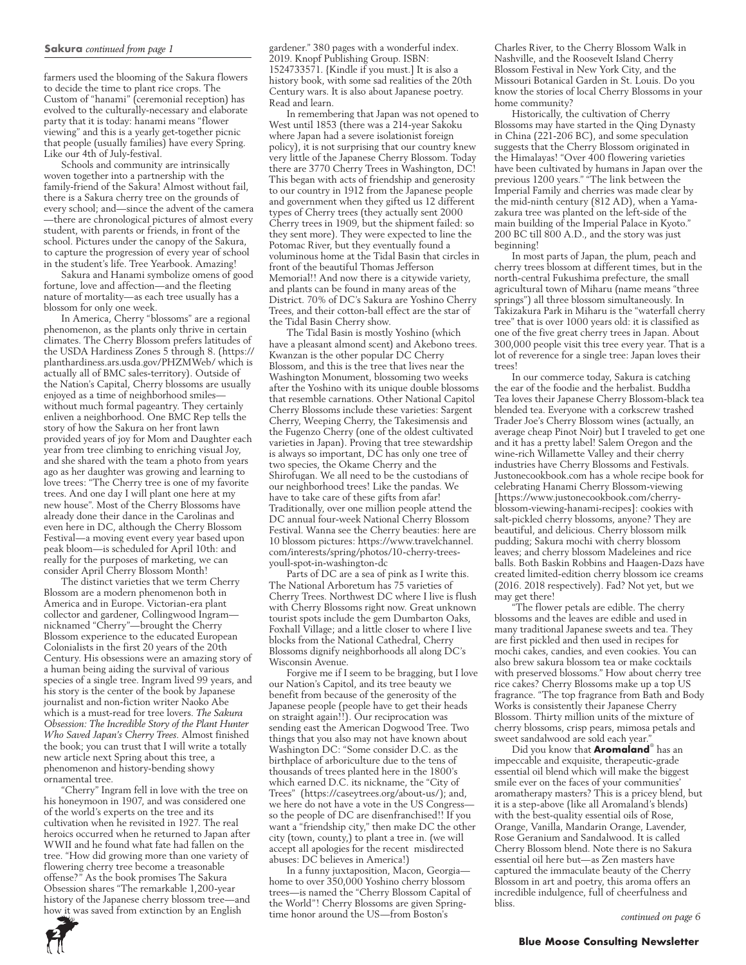#### **Sakura** *continued from page 1*

farmers used the blooming of the Sakura flowers to decide the time to plant rice crops. The Custom of "hanami" (ceremonial reception) has evolved to the culturally-necessary and elaborate party that it is today: hanami means "flower viewing" and this is a yearly get-together picnic that people (usually families) have every Spring. Like our 4th of July-festival.

Schools and community are intrinsically woven together into a partnership with the family-friend of the Sakura! Almost without fail, there is a Sakura cherry tree on the grounds of every school; and—since the advent of the camera —there are chronological pictures of almost every student, with parents or friends, in front of the school. Pictures under the canopy of the Sakura, to capture the progression of every year of school in the student's life. Tree Yearbook. Amazing!

Sakura and Hanami symbolize omens of good fortune, love and affection—and the fleeting nature of mortality—as each tree usually has a blossom for only one week.

In America, Cherry "blossoms" are a regional phenomenon, as the plants only thrive in certain climates. The Cherry Blossom prefers latitudes of the USDA Hardiness Zones 5 through 8. (https:// planthardiness.ars.usda.gov/PHZMWeb/ which is actually all of BMC sales-territory). Outside of the Nation's Capital, Cherry blossoms are usually enjoyed as a time of neighborhood smiles without much formal pageantry. They certainly enliven a neighborhood. One BMC Rep tells the story of how the Sakura on her front lawn provided years of joy for Mom and Daughter each year from tree climbing to enriching visual Joy, and she shared with the team a photo from years ago as her daughter was growing and learning to love trees: "The Cherry tree is one of my favorite trees. And one day I will plant one here at my new house". Most of the Cherry Blossoms have already done their dance in the Carolinas and even here in DC, although the Cherry Blossom Festival—a moving event every year based upon peak bloom—is scheduled for April 10th: and really for the purposes of marketing, we can consider April Cherry Blossom Month!

The distinct varieties that we term Cherry Blossom are a modern phenomenon both in America and in Europe. Victorian-era plant collector and gardener, Collingwood Ingram nicknamed "Cherry"—brought the Cherry Blossom experience to the educated European Colonialists in the first 20 years of the 20th Century. His obsessions were an amazing story of a human being aiding the survival of various species of a single tree. Ingram lived 99 years, and his story is the center of the book by Japanese journalist and non-fiction writer Naoko Abe which is a must-read for tree lovers. *The Sakura Obsession: The Incredible Story of the Plant Hunter Who Saved Japan's Cherry Trees.* Almost finished the book; you can trust that I will write a totally new article next Spring about this tree, a phenomenon and history-bending showy ornamental tree.

"Cherry" Ingram fell in love with the tree on his honeymoon in 1907, and was considered one of the world's experts on the tree and its cultivation when he revisited in 1927. The real heroics occurred when he returned to Japan after WWII and he found what fate had fallen on the tree. "How did growing more than one variety of flowering cherry tree become a treasonable offense?" As the book promises The Sakura Obsession shares "The remarkable 1,200-year history of the Japanese cherry blossom tree—and how it was saved from extinction by an English

gardener." 380 pages with a wonderful index. 2019. Knopf Publishing Group. ISBN: 1524733571. {Kindle if you must.] It is also a history book, with some sad realities of the 20th Century wars. It is also about Japanese poetry. Read and learn.

In remembering that Japan was not opened to West until 1853 (there was a 214-year Sakoku where Japan had a severe isolationist foreign policy), it is not surprising that our country knew very little of the Japanese Cherry Blossom. Today there are 3770 Cherry Trees in Washington, DC! This began with acts of friendship and generosity to our country in 1912 from the Japanese people and government when they gifted us 12 different types of Cherry trees (they actually sent 2000 Cherry trees in 1909, but the shipment failed: so they sent more). They were expected to line the Potomac River, but they eventually found a voluminous home at the Tidal Basin that circles in front of the beautiful Thomas Jefferson Memorial!! And now there is a citywide variety, and plants can be found in many areas of the District. 70% of DC's Sakura are Yoshino Cherry Trees, and their cotton-ball effect are the star of the Tidal Basin Cherry show.

The Tidal Basin is mostly Yoshino (which have a pleasant almond scent) and Akebono trees. Kwanzan is the other popular DC Cherry Blossom, and this is the tree that lives near the Washington Monument, blossoming two weeks after the Yoshino with its unique double blossoms that resemble carnations. Other National Capitol Cherry Blossoms include these varieties: Sargent Cherry, Weeping Cherry, the Takesimensis and the Fugenzo Cherry (one of the oldest cultivated varieties in Japan). Proving that tree stewardship is always so important, DC has only one tree of two species, the Okame Cherry and the Shirofugan. We all need to be the custodians of our neighborhood trees! Like the pandas. We have to take care of these gifts from afar! Traditionally, over one million people attend the DC annual four-week National Cherry Blossom Festival. Wanna see the Cherry beauties: here are 10 blossom pictures: https://www.travelchannel. com/interests/spring/photos/10-cherry-treesyoull-spot-in-washington-dc

Parts of DC are a sea of pink as I write this. The National Arboretum has 75 varieties of Cherry Trees. Northwest DC where I live is flush with Cherry Blossoms right now. Great unknown tourist spots include the gem Dumbarton Oaks, Foxhall Village; and a little closer to where I live blocks from the National Cathedral, Cherry Blossoms dignify neighborhoods all along DC's Wisconsin Avenue.

Forgive me if I seem to be bragging, but I love our Nation's Capitol, and its tree beauty we benefit from because of the generosity of the Japanese people (people have to get their heads on straight again!!). Our reciprocation was sending east the American Dogwood Tree. Two things that you also may not have known about Washington DC: "Some consider D.C. as the birthplace of arboriculture due to the tens of thousands of trees planted here in the 1800's which earned D.C. its nickname, the "City of Trees" (https://caseytrees.org/about-us/); and, we here do not have a vote in the US Congress so the people of DC are disenfranchised!! If you want a "friendship city," then make DC the other city (town, county,) to plant a tree in. (we will accept all apologies for the recent misdirected abuses: DC believes in America!)

In a funny juxtaposition, Macon, Georgia home to over 350,000 Yoshino cherry blossom trees—is named the "Cherry Blossom Capital of the World"! Cherry Blossoms are given Springtime honor around the US—from Boston's

Charles River, to the Cherry Blossom Walk in Nashville, and the Roosevelt Island Cherry Blossom Festival in New York City, and the Missouri Botanical Garden in St. Louis. Do you know the stories of local Cherry Blossoms in your home community?

Historically, the cultivation of Cherry Blossoms may have started in the Qing Dynasty in China (221-206 BC), and some speculation suggests that the Cherry Blossom originated in the Himalayas! "Over 400 flowering varieties have been cultivated by humans in Japan over the previous 1200 years." "The link between the Imperial Family and cherries was made clear by the mid-ninth century (812 AD), when a Yamazakura tree was planted on the left-side of the main building of the Imperial Palace in Kyoto." 200 BC till 800 A.D., and the story was just beginning!

In most parts of Japan, the plum, peach and cherry trees blossom at different times, but in the north-central Fukushima prefecture, the small agricultural town of Miharu (name means "three springs") all three blossom simultaneously. In Takizakura Park in Miharu is the "waterfall cherry tree" that is over 1000 years old: it is classified as one of the five great cherry trees in Japan. About 300,000 people visit this tree every year. That is a lot of reverence for a single tree: Japan loves their trees!

In our commerce today, Sakura is catching the ear of the foodie and the herbalist. Buddha Tea loves their Japanese Cherry Blossom-black tea blended tea. Everyone with a corkscrew trashed Trader Joe's Cherry Blossom wines (actually, an average cheap Pinot Noir) but I traveled to get one and it has a pretty label! Salem Oregon and the wine-rich Willamette Valley and their cherry industries have Cherry Blossoms and Festivals. Justonecookbook.com has a whole recipe book for celebrating Hanami Cherry Blossom-viewing [https://www.justonecookbook.com/cherryblossom-viewing-hanami-recipes]: cookies with salt-pickled cherry blossoms, anyone? They are beautiful, and delicious. Cherry blossom milk pudding; Sakura mochi with cherry blossom leaves; and cherry blossom Madeleines and rice balls. Both Baskin Robbins and Haagen-Dazs have created limited-edition cherry blossom ice creams (2016. 2018 respectively). Fad? Not yet, but we may get there!

"The flower petals are edible. The cherry blossoms and the leaves are edible and used in many traditional Japanese sweets and tea. They are first pickled and then used in recipes for mochi cakes, candies, and even cookies. You can also brew sakura blossom tea or make cocktails with preserved blossoms." How about cherry tree rice cakes? Cherry Blossoms make up a top US fragrance. "The top fragrance from Bath and Body Works is consistently their Japanese Cherry Blossom. Thirty million units of the mixture of cherry blossoms, crisp pears, mimosa petals and sweet sandalwood are sold each year.

Did you know that **Aromaland**® has an impeccable and exquisite, therapeutic-grade essential oil blend which will make the biggest smile ever on the faces of your communities' aromatherapy masters? This is a pricey blend, but it is a step-above (like all Aromaland's blends) with the best-quality essential oils of Rose, Orange, Vanilla, Mandarin Orange, Lavender, Rose Geranium and Sandalwood. It is called Cherry Blossom blend. Note there is no Sakura essential oil here but—as Zen masters have captured the immaculate beauty of the Cherry Blossom in art and poetry, this aroma offers an incredible indulgence, full of cheerfulness and bliss.

*continued on page 6*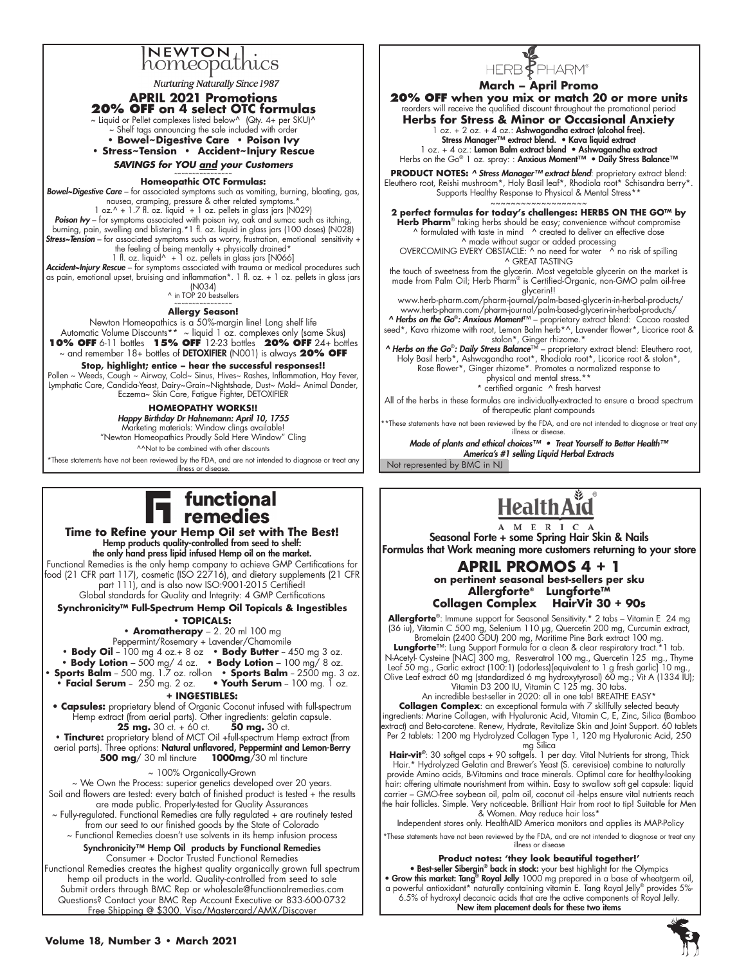# **NEWTON** homeopathics

**Nurturing Naturally Since 1987** 

**APRIL 2021 Promotions 20% OFF on 4 select OTC formulas** 

 $\sim$  Liquid or Pellet complexes listed below^ (Qty. 4+ per SKU)^

~ Shelf tags announcing the sale included with order **• Bowel~Digestive Care • Poison Ivy • Stress~Tension • Accident~Injury Rescue** 

*SAVINGS for YOU and your Customers*

#### ~~~~~~~~~~~~~~~~ **Homeopathic OTC Formulas:**

*Bowel~Digestive Care* – for associated symptoms such as vomiting, burning, bloating, gas, nausea, cramping, pressure & other related symptoms.<sup>\*</sup> 1 oz.^ + 1.7 fl. oz. liquid + 1 oz. pellets in glass jars (N029)<br>**Poison Ivy** – for symptoms associated with poison ivy, oak and sumac such as itching,<br>burning, pain, swelling and blistering.\*1 fl. oz. liquid in glass jar *Stress~Tension* – for associated symptoms such as worry, frustration, emotional sensitivity +<br>the feeling of being mentally + physically drained\* 1 fl. oz. liquid^ + 1 oz. pellets in glass jars [N066] *Accident~Injury Rescue* – for symptoms associated with trauma or medical procedures such

as pain, emotional upset, bruising and inflammation\*. 1 fl. oz. + 1 oz. pellets in glass jars (N034)

^ in TOP 20 bestsellers ~~~~~~~~~~~~~~~~

**Allergy Season!**

Newton Homeopathics is a 50%-margin line! Long shelf life Automatic Volume Discounts\*\* ~ liquid 1 oz. complexes only (same Skus) **10% OFF** 6-11 bottles **15% OFF** 12-23 bottles **20% OFF** 24+ bottles ~ and remember 18+ bottles of DETOXIFIER (N001) is always **20% OFF**

**Stop, highlight; entice – hear the successful responses!!** Pollen ~ Weeds, Cough ~ Airway, Cold~ Sinus, Hives~ Rashes, Inflammation, Hay Fever, Lymphatic Care, Candida-Yeast, Dairy~Grain~Nightshade, Dust~ Mold~ Animal Dander, Eczema~ Skin Care, Fatigue Fighter, DETOXIFIER

> **HOMEOPATHY WORKS!!** *Happy Birthday Dr Hahnemann: April 10, 1755*

Marketing materials: Window clings available! "Newton Homeopathics Proudly Sold Here Window" Cling ^^Not to be combined with other discounts

\*These statements have not been reviewed by the FDA, and are not intended to diagnose or treat any illness or disease

# functional remedies

**Time to Refine your Hemp Oil set with The Best!** Hemp products quality-controlled from seed to shelf: the only hand press lipid infused Hemp oil on the market. Functional Remedies is the only hemp company to achieve GMP Certifications for

food (21 CFR part 117), cosmetic (ISO 22716), and dietary supplements (21 CFR part 111), and is also now ISO:9001-2015 Certified! Global standards for Quality and Integrity: 4 GMP Certifications

**Synchronicity™ Full-Spectrum Hemp Oil Topicals & Ingestibles**

#### **• TOPICALS:**

**• Aromatherapy** – 2. 20 ml 100 mg

Peppermint/Rosemary + Lavender/Chamomile

• Body Oil - 100 mg 4 oz.+ 8 oz • Body Butter - 450 mg 3 oz. **• Body Lotion** – 500 mg/ 4 oz. **• Body Lotion** – 100 mg/ 8 oz. • **Sports Balm** – 500 mg. 1.7 oz. roll-on • **Sports Balm** – 2500 mg. 3 oz.

**• Facial Serum** - 250 mg. 2 oz. • **Youth Serum** - 100 mg. 1 oz.

# **+ INGESTIBLES:**

**• Capsules:** proprietary blend of Organic Coconut infused with full-spectrum Hemp extract (from aerial parts). Other ingredients: gelatin capsule.<br>**25 mg.** 30 ct. + 60 ct. **50 mg.** 30 ct. **25 mg.** 30 ct. + 60 ct.

• **Tincture:** proprietary blend of MCT Oil +full-spectrum Hemp extract (from aerial parts). Three options: Natural unflavored, Peppermint and Lemon-Berry<br>500 mg/ 30 ml tincture 1000mg/ 30 ml tincture **500 mg**/30 ml tincture

~ 100% Organically-Grown

~ We Own the Process: superior genetics developed over 20 years. Soil and flowers are tested: every batch of finished product is tested + the results are made public. Properly-tested for Quality Assurances ~ Fully-regulated. Functional Remedies are fully regulated + are routinely tested from our seed to our finished goods by the State of Colorado ~ Functional Remedies doesn't use solvents in its hemp infusion process Synchronicity™ Hemp Oil products by Functional Remedies

Consumer + Doctor Trusted Functional Remedies Functional Remedies creates the highest quality organically grown full spectrum hemp oil products in the world. Quality-controlled from seed to sale Submit orders through BMC Rep or wholesale@functionalremedies.com Questions? Contact your BMC Rep Account Executive or 833-600-0732 Free Shipping @ \$300. Visa/Mastercard/AMX/Discover

# HERB<sup>F</sup>PHARM<sup>®</sup>

**March – April Promo**

**20% OFF when you mix or match 20 or more units** reorders will receive the qualified discount throughout the promotional period

**Herbs for Stress & Minor or Occasional Anxiety** 1 oz. + 2 oz. + 4 oz.: Ashwagandha extract (alcohol free). Stress Manager™ extract blend. • Kava liquid extract

1 oz. + 4 oz.: **Lemon Balm extract blend • Ashwagandha extract**<br>Herbs on the Go® 1 oz. spray: : **Anxious Moment™ • Daily Stress Balance™** 

**PRODUCT NOTES:** *^ Stress Manager™ extract blend*: proprietary extract blend: Eleuthero root, Reishi mushroom\*, Holy Basil leaf\*, Rhodiola root\* Schisandra berry\*. Supports Healthy Response to Physical & Mental Stress\*\*

~~~~~~~~~~~~~~~~~~~

**2 perfect formulas for today's challenges: HERBS ON THE GO™ by**<br>**Herb Pharm**® taking herbs should be easy; convenience without compromise<br>^ formulated with taste in mind ^ created to deliver an effective dose ^ made without sugar or added processing

OVERCOMING EVERY OBSTACLE: ^ no need for water ^ no risk of spilling ^ GREAT TASTING

the touch of sweetness from the glycerin. Most vegetable glycerin on the market is made from Palm Oil; Herb Pharm® is Certified-Organic, non-GMO palm oil-free glycerin!!

www.herb-pharm.com/pharm-journal/palm-based-glycerin-in-herbal-products/ www.herb-pharm.com/pharm-journal/palm-based-glycerin-in-herbal-products/ *^ Herbs on the Go*®*: Anxious Moment*™ – proprietary extract blend: Cacao roasted

seed\*, Kava rhizome with root, Lemon Balm herb\*^, Lavender flower\*, Licorice root & stolon\*, Ginger rhizome.\* *^ Herbs on the Go*®*: Daily Stress Balance*™ – proprietary extract blend: Eleuthero root,

Holy Basil herb\*, Ashwagandha root\*, Rhodiola root\*, Licorice root & stolon\*, Rose flower\*, Ginger rhizome\*. Promotes a normalized response to physical and mental stress.\*\*

\* certified organic ^ fresh harvest

All of the herbs in these formulas are individually-extracted to ensure a broad spectrum of therapeutic plant compounds

\*\*These statements have not been reviewed by the FDA, and are not intended to diagnose or treat any illness or disease.

Not represented by BMC in NJ *Made of plants and ethical choices™ • Treat Yourself to Better Health™ America's #1 selling Liquid Herbal Extracts*



A M E R I C A Seasonal Forte + some Spring Hair Skin & Nails Formulas that Work meaning more customers returning to your store

# **APRIL PROMOS 4 + 1 on pertinent seasonal best-sellers per sku Allergforte® Lungforte™ Collagen Complex HairVit 30 + 90s**

**Allergforte**®: Immune support for Seasonal Sensitivity.\* 2 tabs – Vitamin E 24 mg (36 iu), Vitamin C 500 mg, Selenium 110 µg, Quercetin 200 mg, Curcumin extract, Bromelain (2400 GDU) 200 mg, Maritime Pine Bark extract 100 mg.

**Lungforte**™: Lung Support Formula for a clean & clear respiratory tract.\*1 tab. N-Acetyl- Cysteine [NAC] 300 mg, Resveratrol 100 mg., Quercetin 125 mg., Thyme Leaf 50 mg., Garlic extract (100:1) (odorless)[equivalent to 1 g fresh garlic] 10 mg., Olive Leaf extract 60 mg (standardized 6 mg hydroxytyrosol) 60 mg.; Vit A (1334 IU); Vitamin D3 200 IU, Vitamin C 125 mg. 30 tabs.

An incredible best-seller in 2020: all in one tab! BREATHE EASY\*

**Collagen Complex**: an exceptional formula with 7 skillfully selected beauty ingredients: Marine Collagen, with Hyaluronic Acid, Vitamin C, E, Zinc, Silica (Bamboo extract) and Beta-carotene. Renew, Hydrate, Revitalize Skin and Joint Support. 60 tablets Per 2 tablets: 1200 mg Hydrolyzed Collagen Type 1, 120 mg Hyaluronic Acid, 250 mg Silica

**Hair-vit***®*: 30 softgel caps + 90 softgels. 1 per day. Vital Nutrients for strong, Thick Hair.\* Hydrolyzed Gelatin and Brewer's Yeast (S. cerevisiae) combine to naturally provide Amino acids, B-Vitamins and trace minerals. Optimal care for healthy-looking hair: offering ultimate nourishment from within. Easy to swallow soft gel capsule: liquid carrier – GMO-free soybean oil, palm oil, coconut oil -helps ensure vital nutrients reach the hair follicles. Simple. Very noticeable. Brilliant Hair from root to tip! Suitable for Men & Women. May reduce hair loss\*

Independent stores only. HealthAID America monitors and applies its MAP-Policy

\*These statements have not been reviewed by the FDA, and are not intended to diagnose or treat any illness or disease

**Product notes: 'they look beautiful together!'**

• Best-seller Sibergin® back in stock: your best highlight for the Olympics • Grow this market: Tang<sup>®</sup> Royal Jelly 1000 mg prepared in a base of wheatgerm oil, a powerful antioxidant\* naturally containing vitamin E. Tang Royal Jelly® provides 5%- 6.5% of hydroxyl decanoic acids that are the active components of Royal Jelly. New item placement deals for these two items

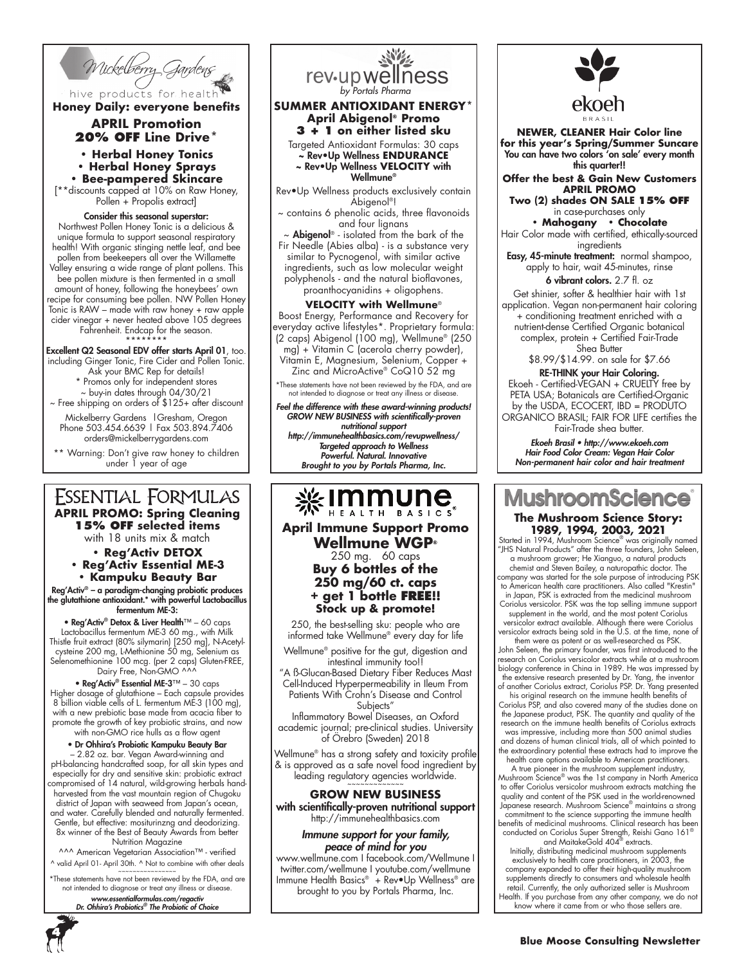

hive products for health **Honey Daily: everyone benefits**

# **APRIL Promotion 20% OFF Line Drive\***

**• Herbal Honey Tonics**

**• Herbal Honey Sprays • Bee-pampered Skincare**

[\*\*discounts capped at 10% on Raw Honey, Pollen + Propolis extract]

Consider this seasonal superstar: Northwest Pollen Honey Tonic is a delicious & unique formula to support seasonal respiratory health! With organic stinging nettle leaf, and bee pollen from beekeepers all over the Willamette Valley ensuring a wide range of plant pollens. This bee pollen mixture is then fermented in a small amount of honey, following the honeybees' own recipe for consuming bee pollen. NW Pollen Honey Tonic is RAW – made with raw honey + raw apple cider vinegar + never heated above 105 degrees

Fahrenheit. Endcap for the season.

\*\*\*\*\*\*\*\* Excellent Q2 Seasonal EDV offer starts April 01, too. including Ginger Tonic, Fire Cider and Pollen Tonic. Ask your BMC Rep for details! \* Promos only for independent stores ~ buy-in dates through 04/30/21 ~ Free shipping on orders of \$125+ after discount

Mickelberry Gardens | Gresham, Oregon Phone 503.454.6639 | Fax 503.894.7406 orders@mickelberrygardens.com

\*\* Warning: Don't give raw honey to children under 1 year of age

# ESSENTIAL FORMULAS **APRIL PROMO: Spring Cleaning**

**15% OFF selected items**

with 18 units mix & match

- **Reg'Activ DETOX**
- **Reg'Activ Essential ME-3 • Kampuku Beauty Bar**

Reg'Activ® – a paradigm-changing probiotic produces the glutathione antioxidant.\* with powerful Lactobacillus fermentum ME-3:

• Reg'Activ® Detox & Liver Health™ – 60 caps Lactobacillus fermentum ME-3 60 mg., with Milk Thistle fruit extract (80% silymarin) [250 mg], N-Acetylcysteine 200 mg, L-Methionine 50 mg, Selenium as Selenomethionine 100 mcg. (per 2 caps) Gluten-FREE, Dairy Free, Non-GMO ^^^

• Reg'Activ® Essential ME-3™ – 30 caps Higher dosage of glutathione – Each capsule provides 8 billion viable cells of L. fermentum ME-3 (100 mg), with a new prebiotic base made from acacia fiber to promote the growth of key probiotic strains, and now with non-GMO rice hulls as a flow agent

• Dr Ohhira's Probiotic Kampuku Beauty Bar

– 2.82 oz. bar. Vegan Award-winning and pH-balancing handcrafted soap, for all skin types and especially for dry and sensitive skin: probiotic extract compromised of 14 natural, wild-growing herbals handharvested from the vast mountain region of Chugoku

district of Japan with seaweed from Japan's ocean, and water. Carefully blended and naturally fermented. Gentle, but effective: mositurinzng and deodorizing. 8x winner of the Best of Beauty Awards from better

Nutrition Magazine ^^^ American Vegetarian Association™ - verified

^ valid April 01- April 30th. ^ Not to combine with other deals

~~~~~~~~~~~~~~~~ \*These statements have not been reviewed by the FDA, and are not intended to diagnose or treat any illness or disease.

*www.essentialformulas.com/regactiv Dr. Ohhira's Probiotics® The Probiotic of Choice*



#### **SUMMER ANTIOXIDANT ENERGY\* April Abigenol® Promo 3 + 1 on either listed sku**

Targeted Antioxidant Formulas: 30 caps ~ Rev•Up Wellness **ENDURANCE** ~ Rev•Up Wellness **VELOCITY** with

Wellmune®

Rev•Up Wellness products exclusively contain Abigenol®!

~ contains 6 phenolic acids, three flavonoids and four lignans

~ Abigenol® - isolated from the bark of the Fir Needle (Abies alba) - is a substance very similar to Pycnogenol, with similar active ingredients, such as low molecular weight polyphenols - and the natural bioflavones, proanthocyanidins + oligophens.

### **VELOCITY with Wellmune**®

Boost Energy, Performance and Recovery for everyday active lifestyles\*. Proprietary formula: (2 caps) Abigenol (100 mg), Wellmune® (250 mg) + Vitamin C (acerola cherry powder), Vitamin E, Magnesium, Selenium, Copper + Zinc and MicroActive® CoQ10 52 mg

\*These statements have not been reviewed by the FDA, and are not intended to diagnose or treat any illness or disease.

*Feel the difference with these award-winning products! GROW NEW BUSINESS with scientifically-proven nutritional support http://immunehealthbasics.com/revupwellness/ Targeted approach to Wellness Powerful. Natural. Innovative Brought to you by Portals Pharma, Inc.*

**April Immune Support Promo Wellmune WGP®** 250 mg. 60 caps **Buy 6 bottles of the 250 mg/60 ct. caps** 

250, the best-selling sku: people who are informed take Wellmune® every day for life

Wellmune® positive for the gut, digestion and intestinal immunity too!!

"A ß-Glucan-Based Dietary Fiber Reduces Mast Cell-Induced Hyperpermeability in Ileum From Patients With Crohn's Disease and Control Subjects"

Inflammatory Bowel Diseases, an Oxford academic journal; pre-clinical studies. University of Örebro (Sweden) 2018

Wellmune® has a strong safety and toxicity profile & is approved as a safe novel food ingredient by leading regulatory agencies worldwide.

# **GROW NEW BUSINESS** with scientifically-proven nutritional support

http://immunehealthbasics.com *Immune support for your family,* 

*peace of mind for you* www.wellmune.com I facebook.com/Wellmune I twitter.com/wellmune I youtube.com/wellmune Immune Health Basics® + Rev•Up Wellness® are brought to you by Portals Pharma, Inc.



**NEWER, CLEANER Hair Color line for this year's Spring/Summer Suncare** You can have two colors 'on sale' every month this quarter!!

**Offer the best & Gain New Customers APRIL PROMO**

**Two (2) shades ON SALE 15% OFF** in case-purchases only **• Mahogany • Chocolate**

Hair Color made with certified, ethically-sourced ingredients

Easy, 45-minute treatment: normal shampoo, apply to hair, wait 45-minutes, rinse

6 vibrant colors. 2.7 fl. oz

Get shinier, softer & healthier hair with 1st application. Vegan non-permanent hair coloring + conditioning treatment enriched with a nutrient-dense Certified Organic botanical complex, protein + Certified Fair-Trade Shea Butter

\$8.99/\$14.99. on sale for \$7.66

RE-THINK your Hair Coloring. Ekoeh - Certified-VEGAN + CRUELTY free by PETA USA; Botanicals are Certified-Organic by the USDA, ECOCERT, IBD = PRODUTO ORGANICO BRASIL; FAIR FOR LIFE certifies the Fair-Trade shea butter.

*Ekoeh Brasil • http://www.ekoeh.com Hair Food Color Cream: Vegan Hair Color Non-permanent hair color and hair treatment*

# **MushroomScier The Mushroom Science Story:**

**1989, 1994, 2003, 2021** Started in 1994, Mushroom Science® was originally named "JHS Natural Products" after the three founders, John Seleen,

a mushroom grower; He Xianguo, a natural products<br>chemist and Steven Bailey, a naturopathic doctor. The<br>company was started for the sole purpose of introducing PSK<br>to American health care practitioners. Also called "Kresti in Japan, PSK is extracted from the medicinal mushroom

Coriolus versicolor. PSK was the top selling immune suppor supplement in the world, and the most potent Coriolus versicolor extract available. Although there were Coriolus versicolor extracts being sold in the U.S. at the time, none of

them were as potent or as well-researched as PSK. John Seleen, the primary founder, was first introduced to the research on Coriolus versicolor extracts while at a mushroom biology conference in China in 1989. He was impressed by the extensive research presented by Dr. Yang, the inventor of another Coriolus extract, Coriolus PSP. Dr. Yang presented

his original research on the immune health benefits of Coriolus PSP, and also covered many of the studies done on the Japanese product, PSK. The quantity and quality of the research on the immune health benefits of Coriolus extracts was impressive, including more than 500 animal studies and dozens of human clinical trials, all of which pointed to the extraordinary potential these extracts had to improve the health care options available to American practitioners.

A true pioneer in the mushroom supplement industry, Mushroom Science® was the 1st company in North America to offer Coriolus versicolor mushroom extracts matching the quality and content of the PSK used in the world-renowned Japanese research. Mushroom Science® maintains a strong commitment to the science supporting the immune health benefits of medicinal mushrooms. Clinical research has been conducted on Coriolus Super Strength, Reishi Gano 161® and MaitakeGold 404® extracts.

Initially, distributing medicinal mushroom supplements exclusively to health care practitioners, in 2003, the company expanded to offer their high-quality mushroom supplements directly to consumers and wholesale health retail. Currently, the only authorized seller is Mushroom Health. If you purchase from any other company, we do not know where it came from or who those sellers are.

**+ get 1 bottle FREE!! Stock up & promote!**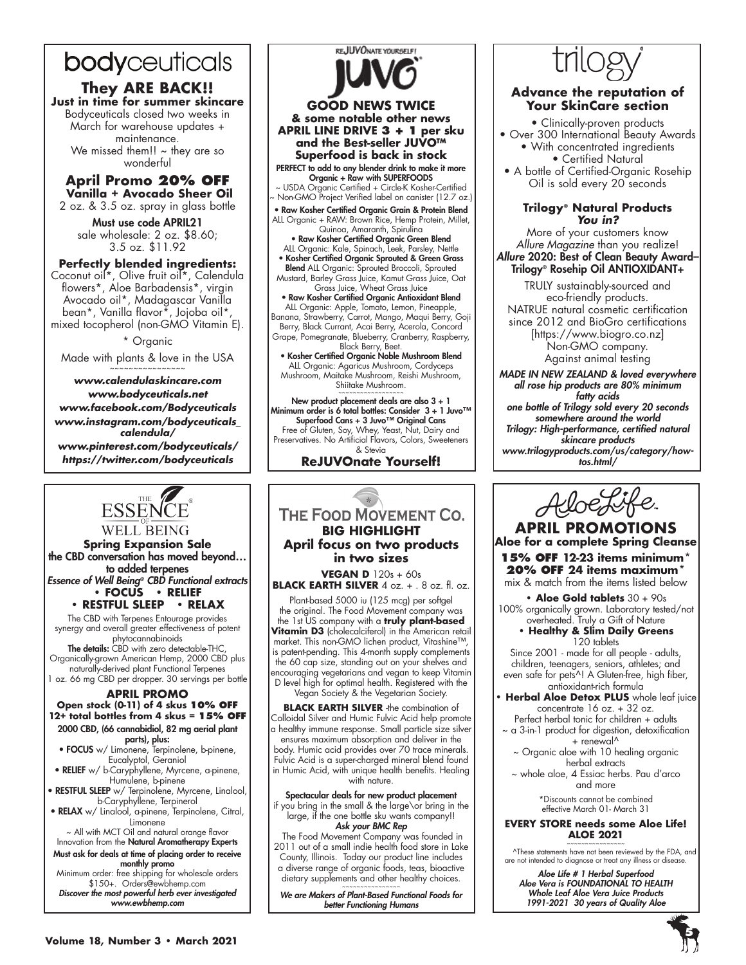# bodyceuticals

**They ARE BACK!! Just in time for summer skincare** Bodyceuticals closed two weeks in March for warehouse updates + maintenance. We missed them!!  $\sim$  they are so wonderful

**April Promo 20% OFF Vanilla + Avocado Sheer Oil** 2 oz. & 3.5 oz. spray in glass bottle

Must use code APRIL21 sale wholesale: 2 oz. \$8.60; 3.5 oz. \$11.92

## **Perfectly blended ingredients:**

Coconut oil\*, Olive fruit oil\*, Calendula flowers\*, Aloe Barbadensis\*, virgin Avocado oil\*, Madagascar Vanilla bean\*, Vanilla flavor\*, Jojoba oil\*, mixed tocopherol (non-GMO Vitamin E).

\* Organic

Made with plants & love in the USA ~~~~~~~~~~~~~~~~

*www.calendulaskincare.com www.bodyceuticals.net www.facebook.com/Bodyceuticals www.instagram.com/bodyceuticals\_ calendula/ www.pinterest.com/bodyceuticals/ https://twitter.com/bodyceuticals*



REJUVONATE YOURSELF!

~ USDA Organic Certified + Circle-K Kosher-Certified ~ Non-GMO Project Verified label on canister (12.7 oz.)

• Raw Kosher Certified Organic Grain & Protein Blend ALL Organic + RAW: Brown Rice, Hemp Protein, Millet, Quinoa, Amaranth, Spirulina

• Raw Kosher Certified Organic Green Blend ALL Organic: Kale, Spinach, Leek, Parsley, Nettle • Kosher Certified Organic Sprouted & Green Grass

Blend ALL Organic: Sprouted Broccoli, Sprouted Mustard, Barley Grass Juice, Kamut Grass Juice, Oat Grass Juice, Wheat Grass Juice

• Raw Kosher Certified Organic Antioxidant Blend ALL Organic: Apple, Tomato, Lemon, Pineapple, Banana, Strawberry, Carrot, Mango, Maqui Berry, Goji Berry, Black Currant, Acai Berry, Acerola, Concord Grape, Pomegranate, Blueberry, Cranberry, Raspberry, Black Berry, Beet.

• Kosher Certified Organic Noble Mushroom Blend ALL Organic: Agaricus Mushroom, Cordyceps Mushroom, Maitake Mushroom, Reishi Mushroom, Shiitake Mushroom.

~~~~~~~~~~~~~~~~~~ New product placement deals are also 3 + 1 Minimum order is 6 total bottles: Consider 3 + 1 Juvo™ Superfood Cans + 3 Juvo™ Original Cans Free of Gluten, Soy, Whey, Yeast, Nut, Dairy and Preservatives. No Artificial Flavors, Colors, Sweeteners & Stevia

**ReJUVOnate Yourself!**

# ESSENCE **WELL BEING**

**Spring Expansion Sale** the CBD conversation has moved beyond… to added terpenes *Essence of Well Being® CBD Functional extracts*

**• FOCUS • RELIEF • RESTFUL SLEEP** The CBD with Terpenes Entourage provides

synergy and overall greater effectiveness of potent phytocannabinoids

**The details:** CBD with zero detectable-THC, Organically-grown American Hemp, 2000 CBD plus naturally-derived plant Functional Terpenes 1 oz. 66 mg CBD per dropper. 30 servings per bottle

### **APRIL PROMO Open stock (0-11) of 4 skus 10% OFF 12+ total bottles from 4 skus = 15% OFF** 2000 CBD, (66 cannabidiol, 82 mg aerial plant

parts), plus:

- FOCUS w/ Limonene, Terpinolene, b-pinene, Eucalyptol, Geraniol
- RELIEF w/ b-Caryphyllene, Myrcene, a-pinene, Humulene, b-pinene
- RESTFUL SLEEP w/ Terpinolene, Myrcene, Linalool, b-Caryphyllene, Terpinerol
- RELAX w/ Linalool, a-pinene, Terpinolene, Citral, Limonene ~ All with MCT Oil and natural orange flavor

Innovation from the Natural Aromatherapy Experts Must ask for deals at time of placing order to receive

monthly promo Minimum order: free shipping for wholesale orders \$150+. Orders@ewbhemp.com *Discover the most powerful herb ever investigated www.ewbhemp.com*

# THE FOOD MOVEMENT CO. **BIG HIGHLIGHT April focus on two products in two sizes VEGAN D** 120s + 60s **BLACK EARTH SILVER** 4 oz. + . 8 oz. fl. oz.

Plant-based 5000 iu (125 mcg) per softgel the original. The Food Movement company was the 1st US company with a **truly plant-based Vitamin D3** (cholecalciferol) in the American retail market. This non-GMO lichen product, Vitashine™, is patent-pending. This 4-month supply complements the 60 cap size, standing out on your shelves and encouraging vegetarians and vegan to keep Vitamin D level high for optimal health. Registered with the Vegan Society & the Vegetarian Society.

**BLACK EARTH SILVER** -the combination of Colloidal Silver and Humic Fulvic Acid help promote a healthy immune response. Small particle size silver ensures maximum absorption and deliver in the body. Humic acid provides over 70 trace minerals. Fulvic Acid is a super-charged mineral blend found in Humic Acid, with unique health benefits. Healing with nature.

Spectacular deals for new product placement

if you bring in the small & the large\or bring in the large, if the one bottle sku wants company!! *Ask your BMC Rep*

 The Food Movement Company was founded in 2011 out of a small indie health food store in Lake County, Illinois. Today our product line includes a diverse range of organic foods, teas, bioactive dietary supplements and other healthy choices.

~~~~~~~~~~~~~~~~ *We are Makers of Plant-Based Functional Foods for better Functioning Humans*



# **Advance the reputation of Your SkinCare section**

- Clinically-proven products • Over 300 International Beauty Awards • With concentrated ingredients • Certified Natural
- A bottle of Certified-Organic Rosehip Oil is sold every 20 seconds

# **Trilogy® Natural Products** *You in?*

More of your customers know *Allure Magazine* than you realize! Allure 2020: Best of Clean Beauty Award-Trilogy® Rosehip Oil ANTIOXIDANT+

TRULY sustainably-sourced and eco-friendly products. NATRUE natural cosmetic certification since 2012 and BioGro certifications [https://www.biogro.co.nz] Non-GMO company. Against animal testing

*MADE IN NEW ZEALAND & loved everywhere all rose hip products are 80% minimum fatty acids one bottle of Trilogy sold every 20 seconds somewhere around the world Trilogy: High-performance, certified natural skincare products www.trilogyproducts.com/us/category/howtos.html/*



**APRIL PROMOTIONS Aloe for a complete Spring Cleanse 15% OFF 12-23 items minimum\***

**20% OFF 24 items maximum\*** mix & match from the items listed below

**• Aloe Gold tablets** 30 + 90s 100% organically grown. Laboratory tested/not overheated. Truly a Gift of Nature

## **• Healthy & Slim Daily Greens**  120 tablets

Since 2001 - made for all people - adults, children, teenagers, seniors, athletes; and even safe for pets^! A Gluten-free, high fiber, antioxidant-rich formula

- **Herbal Aloe Detox PLUS** whole leaf juice concentrate 16 oz. + 32 oz.
- Perfect herbal tonic for children + adults ~ a 3-in-1 product for digestion, detoxification + renewal^
	- ~ Organic aloe with 10 healing organic herbal extracts

~ whole aloe, 4 Essiac herbs. Pau d'arco and more

> \*Discounts cannot be combined effective March 01- March 31

### **EVERY STORE needs some Aloe Life! ALOE 2021**

~~~~~~~~~~~~~~~~ ^These statements have not been reviewed by the FDA, and are not intended to diagnose or treat any illness or disease.

*Aloe Life # 1 Herbal Superfood Aloe Vera is FOUNDATIONAL TO HEALTH Whole Leaf Aloe Vera Juice Products 1991-2021 30 years of Quality Aloe*

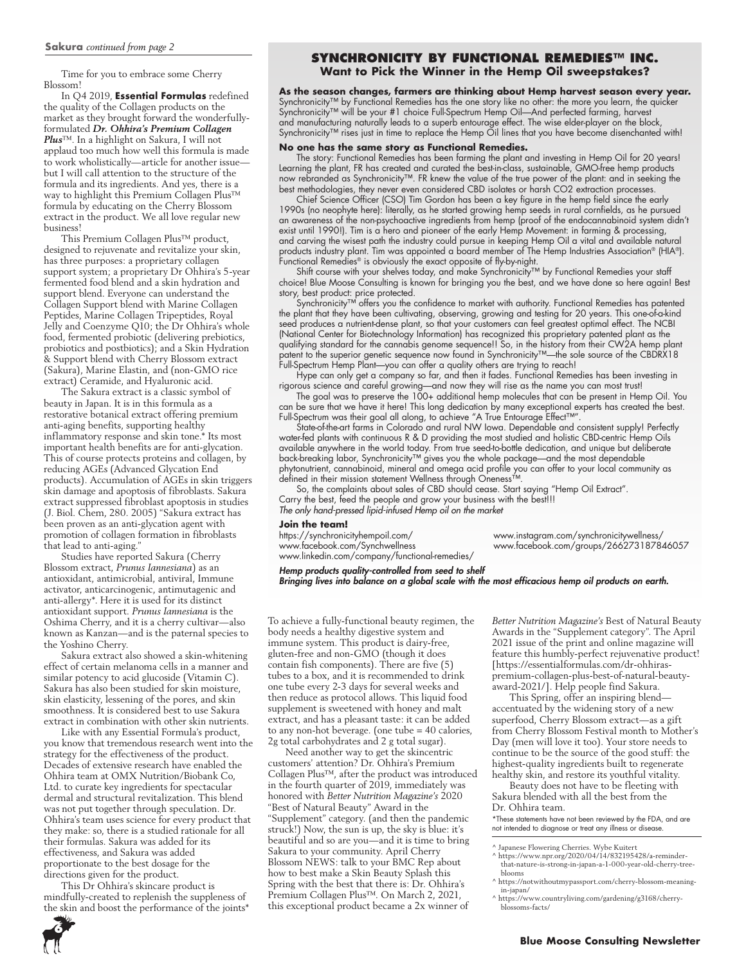Time for you to embrace some Cherry Blossom!

In Q4 2019, **Essential Formulas** redefined the quality of the Collagen products on the market as they brought forward the wonderfullyformulated *Dr. Ohhira's Premium Collagen Plus*™. In a highlight on Sakura, I will not applaud too much how well this formula is made to work wholistically—article for another issue but I will call attention to the structure of the formula and its ingredients. And yes, there is a way to highlight this Premium Collagen Plus™ formula by educating on the Cherry Blossom extract in the product. We all love regular new business!

This Premium Collagen Plus™ product, designed to rejuvenate and revitalize your skin, has three purposes: a proprietary collagen support system; a proprietary Dr Ohhira's 5-year fermented food blend and a skin hydration and support blend. Everyone can understand the Collagen Support blend with Marine Collagen Peptides, Marine Collagen Tripeptides, Royal Jelly and Coenzyme Q10; the Dr Ohhira's whole food, fermented probiotic (delivering prebiotics, probiotics and postbiotics); and a Skin Hydration & Support blend with Cherry Blossom extract (Sakura), Marine Elastin, and (non-GMO rice extract) Ceramide, and Hyaluronic acid.

The Sakura extract is a classic symbol of beauty in Japan. It is in this formula as a restorative botanical extract offering premium anti-aging benefits, supporting healthy inflammatory response and skin tone.\* Its most important health benefits are for anti-glycation. This of course protects proteins and collagen, by reducing AGEs (Advanced Glycation End products). Accumulation of AGEs in skin triggers skin damage and apoptosis of fibroblasts. Sakura extract suppressed fibroblast apoptosis in studies (J. Biol. Chem, 280. 2005) "Sakura extract has been proven as an anti-glycation agent with promotion of collagen formation in fibroblasts that lead to anti-aging."

Studies have reported Sakura (Cherry Blossom extract, *Prunus Iannesiana*) as an antioxidant, antimicrobial, antiviral, Immune activator, anticarcinogenic, antimutagenic and anti-allergy\*. Here it is used for its distinct antioxidant support. *Prunus Iannesiana* is the Oshima Cherry, and it is a cherry cultivar—also known as Kanzan—and is the paternal species to the Yoshino Cherry.

Sakura extract also showed a skin-whitening effect of certain melanoma cells in a manner and similar potency to acid glucoside (Vitamin C). Sakura has also been studied for skin moisture, skin elasticity, lessening of the pores, and skin smoothness. It is considered best to use Sakura extract in combination with other skin nutrients.

Like with any Essential Formula's product, you know that tremendous research went into the strategy for the effectiveness of the product. Decades of extensive research have enabled the Ohhira team at OMX Nutrition/Biobank Co, Ltd. to curate key ingredients for spectacular dermal and structural revitalization. This blend was not put together through speculation. Dr. Ohhira's team uses science for every product that they make: so, there is a studied rationale for all their formulas. Sakura was added for its effectiveness, and Sakura was added proportionate to the best dosage for the directions given for the product.

This Dr Ohhira's skincare product is mindfully-created to replenish the suppleness of the skin and boost the performance of the joints\*

# **SYNCHRONICITY BY FUNCTIONAL REMEDIES™ INC.**

**Want to Pick the Winner in the Hemp Oil sweepstakes?**

**As the season changes, farmers are thinking about Hemp harvest season every year.** Synchronicity™ by Functional Remedies has the one story like no other: the more you learn, the quicker Synchronicity™ will be your #1 choice Full-Spectrum Hemp Oil—And perfected farming, harvest and manufacturing naturally leads to a superb entourage effect. The wise elder-player on the block, Synchronicity™ rises just in time to replace the Hemp Oil lines that you have become disenchanted with!

#### **No one has the same story as Functional Remedies.**

The story: Functional Remedies has been farming the plant and investing in Hemp Oil for 20 years! Learning the plant, FR has created and curated the best-in-class, sustainable, GMO-free hemp products now rebranded as Synchronicity™. FR knew the value of the true power of the plant: and in seeking the best methodologies, they never even considered CBD isolates or harsh CO2 extraction processes.

Chief Science Officer (CSO) Tim Gordon has been a key figure in the hemp field since the early 1990s (no neophyte here): literally, as he started growing hemp seeds in rural cornfields, as he pursued an awareness of the non-psychoactive ingredients from hemp (proof of the endocannabinoid system didn't exist until 1990!). Tim is a hero and pioneer of the early Hemp Movement: in farming & processing, and carving the wisest path the industry could pursue in keeping Hemp Oil a vital and available natural products industry plant. Tim was appointed a board member of The Hemp Industries Association® (HIA®). Functional Remedies® is obviously the exact opposite of fly-by-night.

Shift course with your shelves today, and make Synchronicity™ by Functional Remedies your staff choice! Blue Moose Consulting is known for bringing you the best, and we have done so here again! Best story, best product: price protected.

Synchronicity™ offers you the confidence to market with authority. Functional Remedies has patented the plant that they have been cultivating, observing, growing and testing for 20 years. This one-of-a-kind seed produces a nutrient-dense plant, so that your customers can feel greatest optimal effect. The NCBI (National Center for Biotechnology Information) has recognized this proprietary patented plant as the qualifying standard for the cannabis genome sequence!! So, in the history from their CW2A hemp plant patent to the superior genetic sequence now found in Synchronicity™—the sole source of the CBDRX18 Full-Spectrum Hemp Plant—you can offer a quality others are trying to reach!

Hype can only get a company so far, and then it fades. Functional Remedies has been investing in rigorous science and careful growing—and now they will rise as the name you can most trust!

The goal was to preserve the 100+ additional hemp molecules that can be present in Hemp Oil. You can be sure that we have it here! This long dedication by many exceptional experts has created the best. Full-Spectrum was their goal all along, to achieve "A True Entourage Effect™".

State-of-the-art farms in Colorado and rural NW Iowa. Dependable and consistent supply! Perfectly water-fed plants with continuous R & D providing the most studied and holistic CBD-centric Hemp Oils available anywhere in the world today. From true seed-to-bottle dedication, and unique but deliberate back-breaking labor, Synchronicity™ gives you the whole package—and the most dependable phytonutrient, cannabinoid, mineral and omega acid profile you can offer to your local community as defined in their mission statement Wellness through Oneness™.

So, the complaints about sales of CBD should cease. Start saying "Hemp Oil Extract". Carry the best, feed the people and grow your business with the best!!! *The only hand-pressed lipid-infused Hemp oil on the market*

**Join the team!**<br>https://synchronicityhempoil.com/ www.facebook.com/Synchwellness www.facebook.com/groups/266273187846057 www.linkedin.com/company/functional-remedies/

www.instagram.com/synchronicitywellness/

*Hemp products quality-controlled from seed to shelf Bringing lives into balance on a global scale with the most efficacious hemp oil products on earth.*

To achieve a fully-functional beauty regimen, the body needs a healthy digestive system and immune system. This product is dairy-free, gluten-free and non-GMO (though it does contain fish components). There are five (5) tubes to a box, and it is recommended to drink one tube every 2-3 days for several weeks and then reduce as protocol allows. This liquid food supplement is sweetened with honey and malt extract, and has a pleasant taste: it can be added to any non-hot beverage. (one tube = 40 calories, 2g total carbohydrates and 2 g total sugar).

Need another way to get the skincentric customers' attention? Dr. Ohhira's Premium Collagen Plus™, after the product was introduced in the fourth quarter of 2019, immediately was honored with *Better Nutrition Magazine's* 2020 "Best of Natural Beauty" Award in the "Supplement" category. (and then the pandemic struck!) Now, the sun is up, the sky is blue: it's beautiful and so are you—and it is time to bring Sakura to your community. April Cherry Blossom NEWS: talk to your BMC Rep about how to best make a Skin Beauty Splash this Spring with the best that there is: Dr. Ohhira's Premium Collagen Plus™. On March 2, 2021, this exceptional product became a 2x winner of

*Better Nutrition Magazine's* Best of Natural Beauty Awards in the "Supplement category". The April 2021 issue of the print and online magazine will feature this humbly-perfect rejuvenative product! [https://essentialformulas.com/dr-ohhiraspremium-collagen-plus-best-of-natural-beautyaward-2021/]. Help people find Sakura.

This Spring, offer an inspiring blend accentuated by the widening story of a new superfood, Cherry Blossom extract—as a gift from Cherry Blossom Festival month to Mother's Day (men will love it too). Your store needs to continue to be the source of the good stuff: the highest-quality ingredients built to regenerate healthy skin, and restore its youthful vitality.

Beauty does not have to be fleeting with Sakura blended with all the best from the Dr. Ohhira team.

\*These statements have not been reviewed by the FDA, and are not intended to diagnose or treat any illness or disease.

^ Japanese Flowering Cherries. Wybe Kuitert

- ^ https://www.npr.org/2020/04/14/832195428/a-reminderthat-nature-is-strong-in-japan-a-1-000-year-old-cherry-tree-
- blooms ^ https://notwithoutmypassport.com/cherry-blossom-meaning-
- in-japan/ ^ https://www.countryliving.com/gardening/g3168/cherryblossoms-facts/

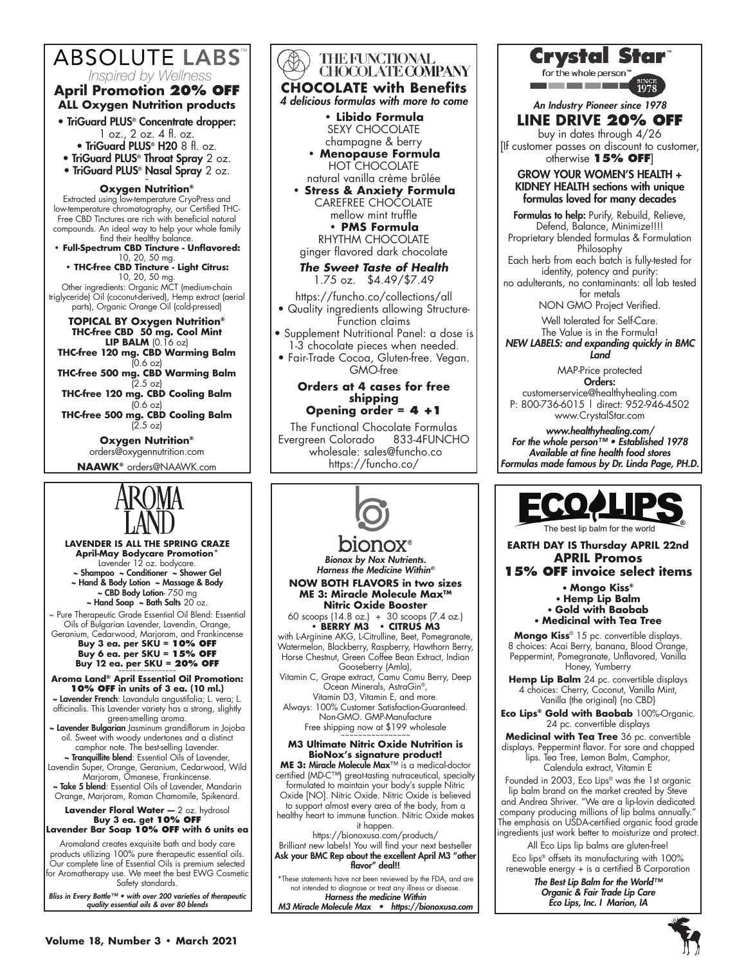# **ABSOLUTE LABS**

*Inspired by Wellness*

# **April Promotion 20% OFF ALL Oxygen Nutrition products**

- TriGuard PLUS® Concentrate dropper:
	- 1 oz., 2 oz. 4 fl. oz.
	- TriGuard PLUS® H20 8 fl. oz.
- TriGuard PLUS® Throat Spray 2 oz.
- TriGuard PLUS<sup>®</sup> Nasal Spray 2 oz.

# **Oxygen Nutrition®**

Extracted using low-temperature CryoPress and low-temperature chromatography, our Certified THC-Free CBD Tinctures are rich with beneficial natural compounds. An ideal way to help your whole family find their healthy balance.

**• Full-Spectrum CBD Tincture - Unflavored:**  10, 20, 50 mg.

**• THC-free CBD Tincture - Light Citrus:** 10, 20, 50 mg.

Other ingredients: Organic MCT (medium-chain triglyceride) Oil (coconut-derived), Hemp extract (aerial parts), Organic Orange Oil (cold-pressed)

**TOPICAL BY Oxygen Nutrition® THC-free CBD 50 mg. Cool Mint LIP BALM** (0.16 oz)

**THC-free 120 mg. CBD Warming Balm**  $(0.6 \text{ oz})$ 

**THC-free 500 mg. CBD Warming Balm** (2.5 oz)

**THC-free 120 mg. CBD Cooling Balm**  $(0.6 \text{ oz})$ 

**THC-free 500 mg. CBD Cooling Balm** (2.5 oz)

> **Oxygen Nutrition®** orders@oxygennutrition.com **NAAWK®** orders@NAAWK.com



**LAVENDER IS ALL THE SPRING CRAZE April-May Bodycare Promotion\*** Lavender 12 oz. bodycare. ~ Shampoo ~ Conditioner ~ Shower Gel ~ Hand & Body Lotion ~ Massage & Body ~ CBD Body Lotion- 750 mg  $\sim$  Hand Soap  $\sim$  Bath Salts 20 oz.

~ Pure Therapeutic Grade Essential Oil Blend: Essential Oils of Bulgarian Lavender, Lavendin, Orange, Geranium, Cedarwood, Marjoram, and Frankincense

**Buy 3 ea. per SKU = 10% OFF Buy 6 ea. per SKU = 15% OFF Buy 12 ea. per SKU = 20% OFF** 

**Aroma Land® April Essential Oil Promotion: 10% OFF in units of 3 ea. (10 ml.)** ~ Lavender French: Lavandula angustifolia; L. vera; L.

officinalis. This Lavender variety has a strong, slightly green-smelling aroma.

~ Lavender Bulgarian Jasminum grandiflorum in Jojoba oil. Sweet with woody undertones and a distinct camphor note. The best-selling Lavender.

~ Tranquillite blend: Essential Oils of Lavender, Lavendin Super, Orange, Geranium, Cedarwood, Wild Marjoram, Omanese, Frankincense.

~ Take 5 blend: Essential Oils of Lavender, Mandarin Orange, Marjoram, Roman Chamomile, Spikenard.

**Lavender Floral Water —** 2 oz. hydrosol **Buy 3 ea. get 10% OFF**

**Lavender Bar Soap 10% OFF with 6 units ea** 

Aromaland creates exquisite bath and body care products utilizing 100% pure therapeutic essential oils. Our complete line of Essential Oils is premium selected for Aromatherapy use. We meet the best EWG Cosmetic Safety standards.

*Bliss in Every Bottle™ • with over 200 varieties of therapeutic quality essential oils & over 80 blends*





*Bionox by Nox Nutrients. Harness the Medicine Within®*

**NOW BOTH FLAVORS in two sizes ME 3: Miracle Molecule Max™ Nitric Oxide Booster**

60 scoops (14.8 oz.) + 30 scoops (7.4 oz.) **• BERRY M3 • CITRUS M3**

with L-Arginine AKG, L-Citrulline, Beet, Pomegranate, Watermelon, Blackberry, Raspberry, Hawthorn Berry, Horse Chestnut, Green Coffee Bean Extract, Indian Gooseberry (Amla),

Vitamin C, Grape extract, Camu Camu Berry, Deep Ocean Minerals, AstraGin®, Vitamin D3, Vitamin E, and more.

Always: 100% Customer Satisfaction-Guaranteed. Non-GMO. GMP-Manufacture Free shipping now at \$199 wholesale

**M3 Ultimate Nitric Oxide Nutrition is BioNox's signature product! ME 3:** Miracle Molecule Max™ is a medical-doctor

certified (MD-C™) great-tasting nutraceutical, specialty formulated to maintain your body's supple Nitric Oxide [NO]. Nitric Oxide. Nitric Oxide is believed to support almost every area of the body, from a healthy heart to immune function. Nitric Oxide makes

it happen. https://bionoxusa.com/products/ Brilliant new labels! You will find your next bestseller Ask your BMC Rep about the excellent April M3 "other flavor" deal!!

\*These statements have not been reviewed by the FDA, and are not intended to diagnose or treat any illness or disease. *Harness the medicine Within M3 Miracle Molecule Max • https://bionoxusa.com* Crystal Star

for the whole person <u>a sa sa sa sa sa sa s</u>

*An Industry Pioneer since 1978*

**LINE DRIVE 20% OFF**

buy in dates through 4/26 [If customer passes on discount to customer, otherwise **15% OFF**]

## GROW YOUR WOMEN'S HEALTH + KIDNEY HEALTH sections with unique formulas loved for many decades

Formulas to help: Purify, Rebuild, Relieve, Defend, Balance, Minimize!!!! Proprietary blended formulas & Formulation

Philosophy Each herb from each batch is fully-tested for identity, potency and purity:

no adulterants, no contaminants: all lab tested for metals

NON GMO Project Verified.

Well tolerated for Self-Care. The Value is in the Formula!

*NEW LABELS: and expanding quickly in BMC Land*

> MAP-Price protected Orders:

customerservice@healthyhealing.com P: 800-736-6015 | direct: 952-946-4502 www.CrystalStar.com

*www.healthyhealing.com/ For the whole person™ • Established 1978 Available at fine health food stores Formulas made famous by Dr. Linda Page, PH.D.*



**EARTH DAY IS Thursday APRIL 22nd APRIL Promos**

**15% OFF invoice select items** • **Mongo Kiss®** • **Hemp Lip Balm**

• **Gold with Baobab** • **Medicinal with Tea Tree**

**Mongo Kiss**® 15 pc. convertible displays. 8 choices: Acai Berry, banana, Blood Orange, Peppermint, Pomegranate, Unflavored, Vanilla Honey, Yumberry

**Hemp Lip Balm** 24 pc. convertible displays 4 choices: Cherry, Coconut, Vanilla Mint, Vanilla (the original) {no CBD}

**Eco Lips® Gold with Baobab** 100%-Organic. 24 pc. convertible displays

**Medicinal with Tea Tree** 36 pc. convertible displays. Peppermint flavor. For sore and chapped lips. Tea Tree, Lemon Balm, Camphor, Calendula extract, Vitamin E

Founded in 2003, Eco Lips® was the 1st organic lip balm brand on the market created by Steve and Andrea Shriver. "We are a lip-lovin dedicated company producing millions of lip balms annually." The emphasis on USDA-certified organic food grade ingredients just work better to moisturize and protect.

All Eco Lips lip balms are gluten-free! Eco lips® offsets its manufacturing with 100% renewable energy + is a certified B Corporation

*The Best Lip Balm for the World™ Organic & Fair Trade Lip Care Eco Lips, Inc. I Marion, IA*

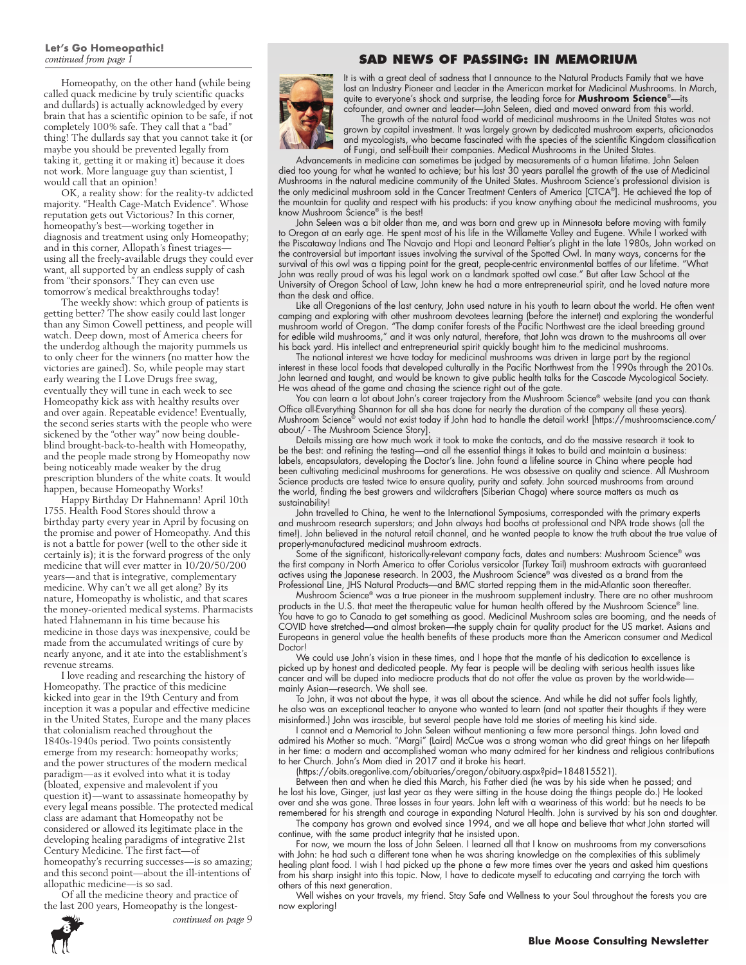# **Let's Go Homeopathic!**

Homeopathy, on the other hand (while being called quack medicine by truly scientific quacks and dullards) is actually acknowledged by every brain that has a scientific opinion to be safe, if not completely 100% safe. They call that a "bad" thing! The dullards say that you cannot take it (or maybe you should be prevented legally from taking it, getting it or making it) because it does not work. More language guy than scientist, I would call that an opinion!

OK, a reality show: for the reality-tv addicted majority. "Health Cage-Match Evidence". Whose reputation gets out Victorious? In this corner, homeopathy's best—working together in diagnosis and treatment using only Homeopathy; and in this corner, Allopath's finest triages using all the freely-available drugs they could ever want, all supported by an endless supply of cash from "their sponsors." They can even use tomorrow's medical breakthroughs today!

The weekly show: which group of patients is getting better? The show easily could last longer than any Simon Cowell pettiness, and people will watch. Deep down, most of America cheers for the underdog although the majority pummels us to only cheer for the winners (no matter how the victories are gained). So, while people may start early wearing the I Love Drugs free swag, eventually they will tune in each week to see Homeopathy kick ass with healthy results over and over again. Repeatable evidence! Eventually, the second series starts with the people who were sickened by the "other way" now being doubleblind brought-back-to-health with Homeopathy, and the people made strong by Homeopathy now being noticeably made weaker by the drug prescription blunders of the white coats. It would happen, because Homeopathy Works!

Happy Birthday Dr Hahnemann! April 10th 1755. Health Food Stores should throw a birthday party every year in April by focusing on the promise and power of Homeopathy. And this is not a battle for power (well to the other side it certainly is); it is the forward progress of the only medicine that will ever matter in 10/20/50/200 years—and that is integrative, complementary medicine. Why can't we all get along? By its nature, Homeopathy is wholistic, and that scares the money-oriented medical systems. Pharmacists hated Hahnemann in his time because his medicine in those days was inexpensive, could be made from the accumulated writings of cure by nearly anyone, and it ate into the establishment's revenue streams.

I love reading and researching the history of Homeopathy. The practice of this medicine kicked into gear in the 19th Century and from inception it was a popular and effective medicine in the United States, Europe and the many places that colonialism reached throughout the 1840s-1940s period. Two points consistently emerge from my research: homeopathy works; and the power structures of the modern medical paradigm—as it evolved into what it is today (bloated, expensive and malevolent if you question it)—want to assassinate homeopathy by every legal means possible. The protected medical class are adamant that Homeopathy not be considered or allowed its legitimate place in the developing healing paradigms of integrative 21st Century Medicine. The first fact—of homeopathy's recurring successes—is so amazing; and this second point—about the ill-intentions of allopathic medicine—is so sad.

Of all the medicine theory and practice of the last 200 years, Homeopathy is the longest-

*continued on page 9*

# **8**

# *continued from page 1* **SAD NEWS OF PASSING: IN MEMORIUM**



It is with a great deal of sadness that I announce to the Natural Products Family that we have lost an Industry Pioneer and Leader in the American market for Medicinal Mushrooms. In March, quite to everyone's shock and surprise, the leading force for **Mushroom Science**®—its cofounder, and owner and leader—John Seleen, died and moved onward from this world.

The growth of the natural food world of medicinal mushrooms in the United States was not grown by capital investment. It was largely grown by dedicated mushroom experts, aficionados and mycologists, who became fascinated with the species of the scientific Kingdom classification of Fungi, and self-built their companies. Medical Mushrooms in the United States.

Advancements in medicine can sometimes be judged by measurements of a human lifetime. John Seleen died too young for what he wanted to achieve; but his last 30 years parallel the growth of the use of Medicinal Mushrooms in the natural medicine community of the United States. Mushroom Science's professional division is the only medicinal mushroom sold in the Cancer Treatment Centers of America [CTCA®]. He achieved the top of the mountain for quality and respect with his products: if you know anything about the medicinal mushrooms, you know Mushroom Science® is the best!

John Seleen was a bit older than me, and was born and grew up in Minnesota before moving with family to Oregon at an early age. He spent most of his life in the Willamette Valley and Eugene. While I worked with the Piscataway Indians and The Navajo and Hopi and Leonard Peltier's plight in the late 1980s, John worked on the controversial but important issues involving the survival of the Spotted Owl. In many ways, concerns for the survival of this owl was a tipping point for the great, people-centric environmental battles of our lifetime. "What John was really proud of was his legal work on a landmark spotted owl case." But after Law School at the University of Oregon School of Law, John knew he had a more entrepreneurial spirit, and he loved nature more than the desk and office.

Like all Oregonians of the last century, John used nature in his youth to learn about the world. He often went camping and exploring with other mushroom devotees learning (before the internet) and exploring the wonderful mushroom world of Oregon. "The damp conifer forests of the Pacific Northwest are the ideal breeding ground for edible wild mushrooms," and it was only natural, therefore, that John was drawn to the mushrooms all over his back yard. His intellect and entrepreneurial spirit quickly bought him to the medicinal mushrooms.

The national interest we have today for medicinal mushrooms was driven in large part by the regional interest in these local foods that developed culturally in the Pacific Northwest from the 1990s through the 2010s. John learned and taught, and would be known to give public health talks for the Cascade Mycological Society. He was ahead of the game and chasing the science right out of the gate.

You can learn a lot about John's career trajectory from the Mushroom Science® website (and you can thank Office all-Everything Shannon for all she has done for nearly the duration of the company all these years). Mushroom Science® would not exist today if John had to handle the detail work! [https://mushroomscience.com/ about/ - The Mushroom Science Story].

Details missing are how much work it took to make the contacts, and do the massive research it took to be the best: and refining the testing—and all the essential things it takes to build and maintain a business: labels, encapsulators, developing the Doctor's line. John found a lifeline source in China where people had been cultivating medicinal mushrooms for generations. He was obsessive on quality and science. All Mushroom Science products are tested twice to ensure quality, purity and safety. John sourced mushrooms from around the world, finding the best growers and wildcrafters (Siberian Chaga) where source matters as much as sustainability!

John travelled to China, he went to the International Symposiums, corresponded with the primary experts and mushroom research superstars; and John always had booths at professional and NPA trade shows (all the time!). John believed in the natural retail channel, and he wanted people to know the truth about the true value of properly-manufactured medicinal mushroom extracts.

Some of the significant, historically-relevant company facts, dates and numbers: Mushroom Science® was the first company in North America to offer Coriolus versicolor (Turkey Tail) mushroom extracts with guaranteed actives using the Japanese research. In 2003, the Mushroom Science® was divested as a brand from the Professional Line, JHS Natural Products—and BMC started repping them in the mid-Atlantic soon thereafter.

Mushroom Science® was a true pioneer in the mushroom supplement industry. There are no other mushroom products in the U.S. that meet the therapeutic value for human health offered by the Mushroom Science® line. You have to go to Canada to get something as good. Medicinal Mushroom sales are booming, and the needs of COVID have stretched—and almost broken—the supply chain for quality product for the US market. Asians and Europeans in general value the health benefits of these products more than the American consumer and Medical **Doctorl** 

We could use John's vision in these times, and I hope that the mantle of his dedication to excellence is picked up by honest and dedicated people. My fear is people will be dealing with serious health issues like cancer and will be duped into mediocre products that do not offer the value as proven by the world-wide mainly Asian—research. We shall see.

To John, it was not about the hype, it was all about the science. And while he did not suffer fools lightly, he also was an exceptional teacher to anyone who wanted to learn (and not spatter their thoughts if they were misinformed.) John was irascible, but several people have told me stories of meeting his kind side.

I cannot end a Memorial to John Seleen without mentioning a few more personal things. John loved and admired his Mother so much. "Margi" (Laird) McCue was a strong woman who did great things on her lifepath in her time: a modern and accomplished woman who many admired for her kindness and religious contributions to her Church. John's Mom died in 2017 and it broke his heart.

(https://obits.oregonlive.com/obituaries/oregon/obituary.aspx?pid=184815521).

Between then and when he died this March, his Father died (he was by his side when he passed; and he lost his love, Ginger, just last year as they were sitting in the house doing the things people do.) He looked over and she was gone. Three losses in four years. John left with a weariness of this world: but he needs to be remembered for his strength and courage in expanding Natural Health. John is survived by his son and daughter.

The company has grown and evolved since 1994, and we all hope and believe that what John started will continue, with the same product integrity that he insisted upon.

For now, we mourn the loss of John Seleen. I learned all that I know on mushrooms from my conversations with John: he had such a different tone when he was sharing knowledge on the complexities of this sublimely healing plant food. I wish I had picked up the phone a few more times over the years and asked him questions from his sharp insight into this topic. Now, I have to dedicate myself to educating and carrying the torch with others of this next generation.

Well wishes on your travels, my friend. Stay Safe and Wellness to your Soul throughout the forests you are now exploring!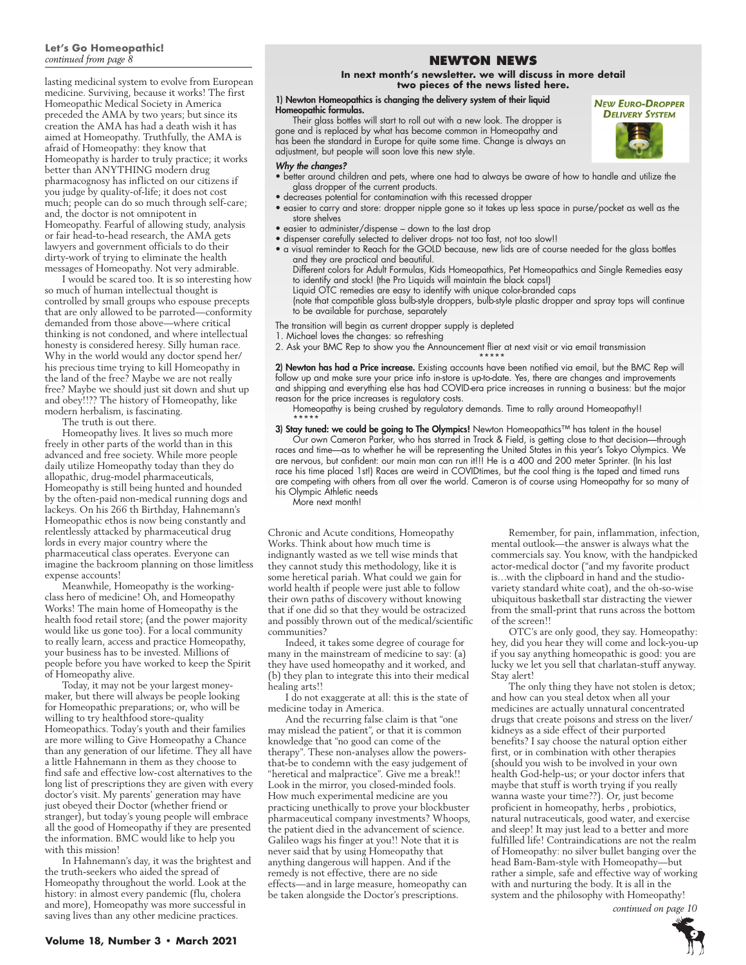#### **Let's Go Homeopathic!**  *continued from page 8*

lasting medicinal system to evolve from European medicine. Surviving, because it works! The first Homeopathic Medical Society in America preceded the AMA by two years; but since its creation the AMA has had a death wish it has aimed at Homeopathy. Truthfully, the AMA is afraid of Homeopathy: they know that Homeopathy is harder to truly practice; it works better than ANYTHING modern drug pharmacognosy has inflicted on our citizens if you judge by quality-of-life; it does not cost much; people can do so much through self-care; and, the doctor is not omnipotent in Homeopathy. Fearful of allowing study, analysis or fair head-to-head research, the AMA gets lawyers and government officials to do their dirty-work of trying to eliminate the health messages of Homeopathy. Not very admirable.

I would be scared too. It is so interesting how so much of human intellectual thought is controlled by small groups who espouse precepts that are only allowed to be parroted—conformity demanded from those above—where critical thinking is not condoned, and where intellectual honesty is considered heresy. Silly human race. Why in the world would any doctor spend her/ his precious time trying to kill Homeopathy in the land of the free? Maybe we are not really free? Maybe we should just sit down and shut up and obey!!?? The history of Homeopathy, like modern herbalism, is fascinating.

The truth is out there.

Homeopathy lives. It lives so much more freely in other parts of the world than in this advanced and free society. While more people daily utilize Homeopathy today than they do allopathic, drug-model pharmaceuticals, Homeopathy is still being hunted and hounded by the often-paid non-medical running dogs and lackeys. On his 266 th Birthday, Hahnemann's Homeopathic ethos is now being constantly and relentlessly attacked by pharmaceutical drug lords in every major country where the pharmaceutical class operates. Everyone can imagine the backroom planning on those limitless expense accounts!

Meanwhile, Homeopathy is the workingclass hero of medicine! Oh, and Homeopathy Works! The main home of Homeopathy is the health food retail store; (and the power majority would like us gone too). For a local community to really learn, access and practice Homeopathy, your business has to be invested. Millions of people before you have worked to keep the Spirit of Homeopathy alive.

Today, it may not be your largest moneymaker, but there will always be people looking for Homeopathic preparations; or, who will be willing to try healthfood store-quality Homeopathics. Today's youth and their families are more willing to Give Homeopathy a Chance than any generation of our lifetime. They all have a little Hahnemann in them as they choose to find safe and effective low-cost alternatives to the long list of prescriptions they are given with every doctor's visit. My parents' generation may have just obeyed their Doctor (whether friend or stranger), but today's young people will embrace all the good of Homeopathy if they are presented the information. BMC would like to help you with this mission!

In Hahnemann's day, it was the brightest and the truth-seekers who aided the spread of Homeopathy throughout the world. Look at the history: in almost every pandemic (flu, cholera and more), Homeopathy was more successful in saving lives than any other medicine practices.

# **NEWTON NEWS**

#### **In next month's newsletter. we will discuss in more detail two pieces of the news listed here.**

#### 1) Newton Homeopathics is changing the delivery system of their liquid Homeopathic formulas.

Their glass bottles will start to roll out with a new look. The dropper is gone and is replaced by what has become common in Homeopathy and has been the standard in Europe for quite some time. Change is always an adjustment, but people will soon love this new style.

#### *Why the changes?*

- better around children and pets, where one had to always be aware of how to handle and utilize the glass dropper of the current products.
- decreases potential for contamination with this recessed dropper
- easier to carry and store: dropper nipple gone so it takes up less space in purse/pocket as well as the store shelves
- easier to administer/dispense down to the last drop
- dispenser carefully selected to deliver drops- not too fast, not too slow!!
- a visual reminder to Reach for the GOLD because, new lids are of course needed for the glass bottles and they are practical and beautiful.
	- Different colors for Adult Formulas, Kids Homeopathics, Pet Homeopathics and Single Remedies easy to identify and stock! (the Pro Liquids will maintain the black caps!)
	- Liquid OTC remedies are easy to identify with unique color-branded caps

(note that compatible glass bulb-style droppers, bulb-style plastic dropper and spray tops will continue to be available for purchase, separately

The transition will begin as current dropper supply is depleted

1. Michael loves the changes: so refreshing

2. Ask your BMC Rep to show you the Announcement flier at next visit or via email transmission

\*\*\*\*\* 2) Newton has had a Price increase. Existing accounts have been notified via email, but the BMC Rep will follow up and make sure your price info in-store is up-to-date. Yes, there are changes and improvements and shipping and everything else has had COVID-era price increases in running a business: but the major reason for the price increases is regulatory costs.

Homeopathy is being crushed by regulatory demands. Time to rally around Homeopathy!!

\*\*\*\*\* 3) Stay tuned: we could be going to The Olympics! Newton Homeopathics™ has talent in the house! Our own Cameron Parker, who has starred in Track & Field, is getting close to that decision—through races and time—as to whether he will be representing the United States in this year's Tokyo Olympics. We are nervous, but confident: our main man can run it!!! He is a 400 and 200 meter Sprinter. (In his last race his time placed 1st!) Races are weird in COVIDtimes, but the cool thing is the taped and timed runs are competing with others from all over the world. Cameron is of course using Homeopathy for so many of his Olympic Athletic needs

More next month!

Chronic and Acute conditions, Homeopathy Works. Think about how much time is indignantly wasted as we tell wise minds that they cannot study this methodology, like it is some heretical pariah. What could we gain for world health if people were just able to follow their own paths of discovery without knowing that if one did so that they would be ostracized and possibly thrown out of the medical/scientific communities?

Indeed, it takes some degree of courage for many in the mainstream of medicine to say: (a) they have used homeopathy and it worked, and (b) they plan to integrate this into their medical healing arts!!

I do not exaggerate at all: this is the state of medicine today in America.

And the recurring false claim is that "one may mislead the patient", or that it is common knowledge that "no good can come of the therapy". These non-analyses allow the powersthat-be to condemn with the easy judgement of "heretical and malpractice". Give me a break!! Look in the mirror, you closed-minded fools. How much experimental medicine are you practicing unethically to prove your blockbuster pharmaceutical company investments? Whoops, the patient died in the advancement of science. Galileo wags his finger at you!! Note that it is never said that by using Homeopathy that anything dangerous will happen. And if the remedy is not effective, there are no side effects—and in large measure, homeopathy can be taken alongside the Doctor's prescriptions.

Remember, for pain, inflammation, infection, mental outlook—the answer is always what the commercials say. You know, with the handpicked actor-medical doctor ("and my favorite product is…with the clipboard in hand and the studiovariety standard white coat), and the oh-so-wise ubiquitous basketball star distracting the viewer from the small-print that runs across the bottom of the screen!!

OTC's are only good, they say. Homeopathy: hey, did you hear they will come and lock-you-up if you say anything homeopathic is good: you are lucky we let you sell that charlatan-stuff anyway. Stay alert!

The only thing they have not stolen is detox; and how can you steal detox when all your medicines are actually unnatural concentrated drugs that create poisons and stress on the liver/ kidneys as a side effect of their purported benefits? I say choose the natural option either first, or in combination with other therapies (should you wish to be involved in your own health God-help-us; or your doctor infers that maybe that stuff is worth trying if you really wanna waste your time??). Or, just become proficient in homeopathy, herbs , probiotics, natural nutraceuticals, good water, and exercise and sleep! It may just lead to a better and more fulfilled life! Contraindications are not the realm of Homeopathy: no silver bullet banging over the head Bam-Bam-style with Homeopathy—but rather a simple, safe and effective way of working with and nurturing the body. It is all in the system and the philosophy with Homeopathy!

*continued on page 10*